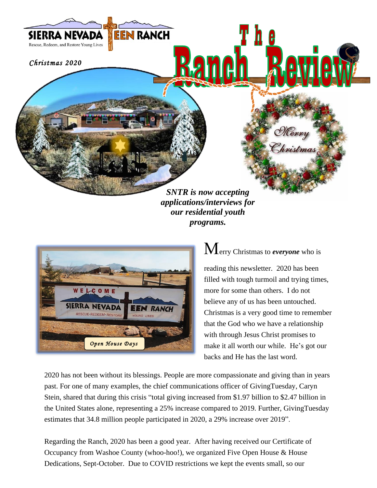

*SNTR is now accepting applications/interviews for our residential youth programs.*



Merry Christmas to *everyone* who is

reading this newsletter. 2020 has been filled with tough turmoil and trying times, more for some than others. I do not believe any of us has been untouched. Christmas is a very good time to remember that the God who we have a relationship with through Jesus Christ promises to make it all worth our while. He's got our backs and He has the last word.

2020 has not been without its blessings. People are more compassionate and giving than in years past. For one of many examples, the chief communications officer of GivingTuesday, Caryn Stein, shared that during this crisis "total giving increased from \$1.97 billion to \$2.47 billion in the United States alone, representing a 25% increase compared to 2019. Further, GivingTuesday estimates that 34.8 million people participated in 2020, a 29% increase over 2019".

Regarding the Ranch, 2020 has been a good year. After having received our Certificate of Occupancy from Washoe County (whoo-hoo!), we organized Five Open House & House Dedications, Sept-October. Due to COVID restrictions we kept the events small, so our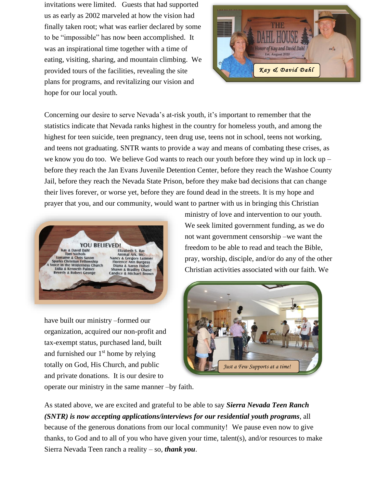invitations were limited. Guests that had supported us as early as 2002 marveled at how the vision had finally taken root; what was earlier declared by some to be "impossible" has now been accomplished. It was an inspirational time together with a time of eating, visiting, sharing, and mountain climbing. We provided tours of the facilities, revealing the site plans for programs, and revitalizing our vision and hope for our local youth.



Concerning our desire to serve Nevada's at-risk youth, it's important to remember that the statistics indicate that Nevada ranks highest in the country for homeless youth, and among the highest for teen suicide, teen pregnancy, teen drug use, teens not in school, teens not working, and teens not graduating. SNTR wants to provide a way and means of combating these crises, as we know you do too. We believe God wants to reach our youth before they wind up in lock up – before they reach the Jan Evans Juvenile Detention Center, before they reach the Washoe County Jail, before they reach the Nevada State Prison, before they make bad decisions that can change their lives forever, or worse yet, before they are found dead in the streets. It is my hope and prayer that you, and our community, would want to partner with us in bringing this Christian



have built our ministry –formed our organization, acquired our non-profit and tax-exempt status, purchased land, built and furnished our  $1<sup>st</sup>$  home by relying totally on God, His Church, and public and private donations. It is our desire to

ministry of love and intervention to our youth. We seek limited government funding, as we do not want government censorship –we want the freedom to be able to read and teach the Bible, pray, worship, disciple, and/or do any of the other Christian activities associated with our faith. We



operate our ministry in the same manner –by faith.

As stated above, we are excited and grateful to be able to say *Sierra Nevada Teen Ranch (SNTR) is now accepting applications/interviews for our residential youth programs*, all because of the generous donations from our local community!We pause even now to give thanks, to God and to all of you who have given your time, talent(s), and/or resources to make Sierra Nevada Teen ranch a reality – so, *thank you*.